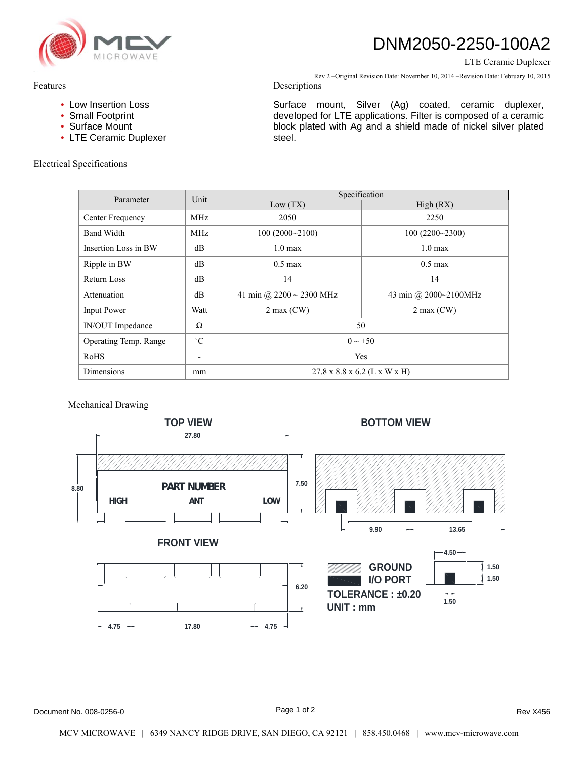

## DNM2050-2250-100A2

LTE Ceramic Duplexer

Rev 2 –Original Revision Date: November 10, 2014 –Revision Date: February 10, 2015

### Descriptions

- Low Insertion Loss
- Small Footprint
- Surface Mount
- LTE Ceramic Duplexer

### Electrical Specifications

Surface mount, Silver (Ag) coated, ceramic duplexer, developed for LTE applications. Filter is composed of a ceramic block plated with Ag and a shield made of nickel silver plated steel.

| Parameter                    | Unit                     | Specification                            |                       |
|------------------------------|--------------------------|------------------------------------------|-----------------------|
|                              |                          | Low(TX)                                  | High (RX)             |
| Center Frequency             | MHz                      | 2050                                     | 2250                  |
| <b>Band Width</b>            | MHz                      | 100(2000~2100)                           | 100(2200~2300)        |
| Insertion Loss in BW         | dB                       | $1.0 \text{ max}$                        | $1.0 \text{ max}$     |
| Ripple in BW                 | dВ                       | $0.5 \text{ max}$                        | $0.5 \text{ max}$     |
| Return Loss                  | dB                       | 14                                       | 14                    |
| Attenuation                  | dB                       | 41 min @ $2200 \sim 2300$ MHz            | 43 min @ 2000~2100MHz |
| <b>Input Power</b>           | Watt                     | $2$ max (CW)                             | $2 \max$ (CW)         |
| IN/OUT Impedance             | Ω                        | 50                                       |                       |
| <b>Operating Temp. Range</b> | $^{\circ}C$              | $0 \sim +50$                             |                       |
| RoHS                         | $\overline{\phantom{a}}$ | Yes                                      |                       |
| Dimensions                   | mm                       | $27.8 \times 8.8 \times 6.2$ (L x W x H) |                       |

#### Mechanical Drawing



Features